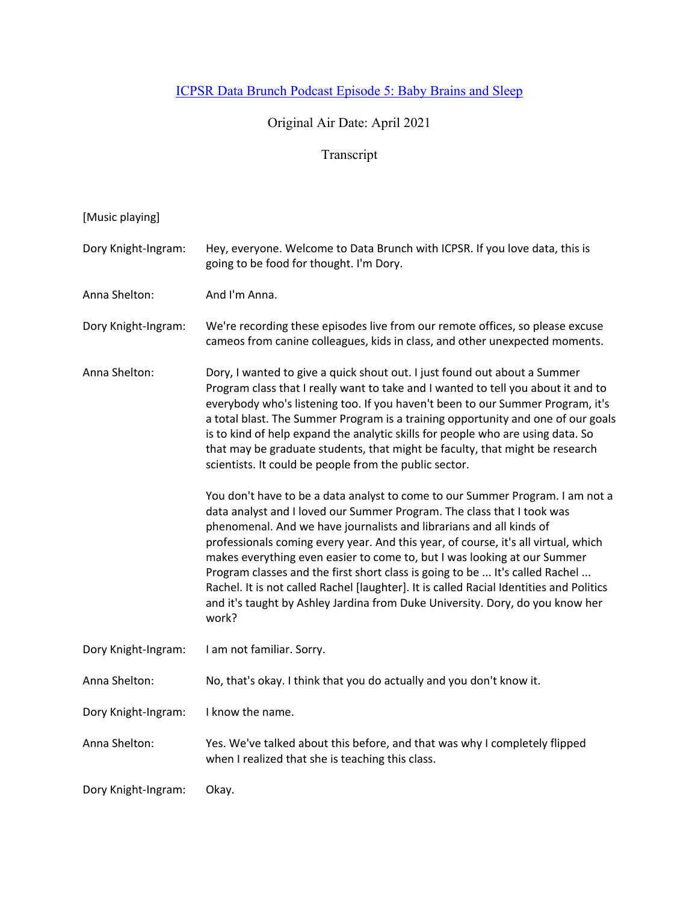## ICPSR Data Brunch Podcast Episode 5: Baby Brains and Sleep

## Original Air Date: April 2021

## Transcript

| [Music playing]     |                                                                                                                                                                                                                                                                                                                                                                                                                                                                                                                                                                                                                                                                       |
|---------------------|-----------------------------------------------------------------------------------------------------------------------------------------------------------------------------------------------------------------------------------------------------------------------------------------------------------------------------------------------------------------------------------------------------------------------------------------------------------------------------------------------------------------------------------------------------------------------------------------------------------------------------------------------------------------------|
| Dory Knight-Ingram: | Hey, everyone. Welcome to Data Brunch with ICPSR. If you love data, this is<br>going to be food for thought. I'm Dory.                                                                                                                                                                                                                                                                                                                                                                                                                                                                                                                                                |
| Anna Shelton:       | And I'm Anna.                                                                                                                                                                                                                                                                                                                                                                                                                                                                                                                                                                                                                                                         |
| Dory Knight-Ingram: | We're recording these episodes live from our remote offices, so please excuse<br>cameos from canine colleagues, kids in class, and other unexpected moments.                                                                                                                                                                                                                                                                                                                                                                                                                                                                                                          |
| Anna Shelton:       | Dory, I wanted to give a quick shout out. I just found out about a Summer<br>Program class that I really want to take and I wanted to tell you about it and to<br>everybody who's listening too. If you haven't been to our Summer Program, it's<br>a total blast. The Summer Program is a training opportunity and one of our goals<br>is to kind of help expand the analytic skills for people who are using data. So<br>that may be graduate students, that might be faculty, that might be research<br>scientists. It could be people from the public sector.                                                                                                     |
|                     | You don't have to be a data analyst to come to our Summer Program. I am not a<br>data analyst and I loved our Summer Program. The class that I took was<br>phenomenal. And we have journalists and librarians and all kinds of<br>professionals coming every year. And this year, of course, it's all virtual, which<br>makes everything even easier to come to, but I was looking at our Summer<br>Program classes and the first short class is going to be  It's called Rachel<br>Rachel. It is not called Rachel [laughter]. It is called Racial Identities and Politics<br>and it's taught by Ashley Jardina from Duke University. Dory, do you know her<br>work? |
| Dory Knight-Ingram: | I am not familiar. Sorry.                                                                                                                                                                                                                                                                                                                                                                                                                                                                                                                                                                                                                                             |
| Anna Shelton:       | No, that's okay. I think that you do actually and you don't know it.                                                                                                                                                                                                                                                                                                                                                                                                                                                                                                                                                                                                  |
| Dory Knight-Ingram: | I know the name.                                                                                                                                                                                                                                                                                                                                                                                                                                                                                                                                                                                                                                                      |
| Anna Shelton:       | Yes. We've talked about this before, and that was why I completely flipped<br>when I realized that she is teaching this class.                                                                                                                                                                                                                                                                                                                                                                                                                                                                                                                                        |
| Dory Knight-Ingram: | Okay.                                                                                                                                                                                                                                                                                                                                                                                                                                                                                                                                                                                                                                                                 |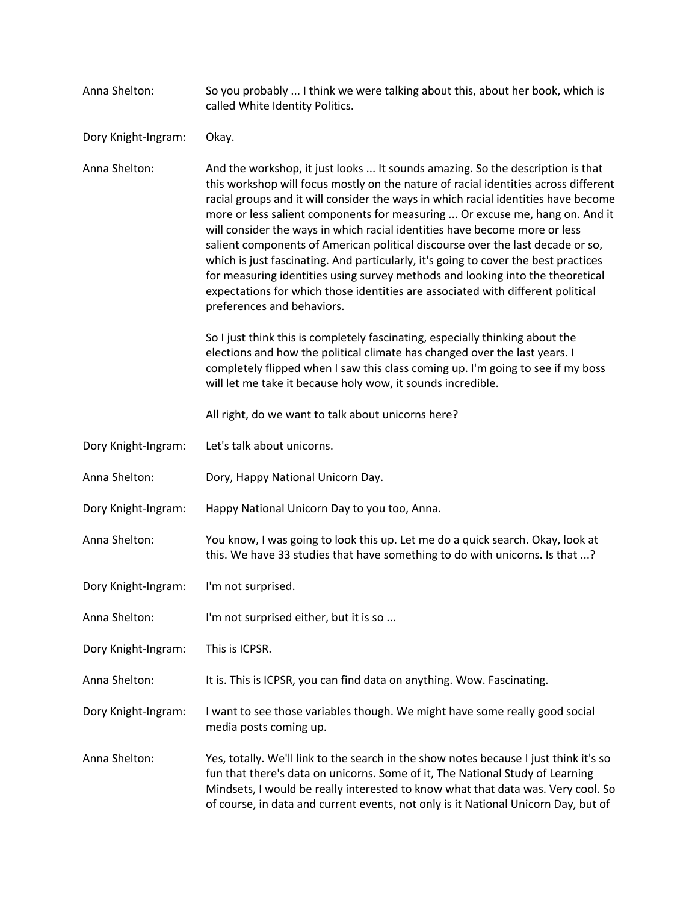Anna Shelton: So you probably ... I think we were talking about this, about her book, which is called White Identity Politics.

Dory Knight-Ingram: Okay.

Anna Shelton: And the workshop, it just looks ... It sounds amazing. So the description is that this workshop will focus mostly on the nature of racial identities across different racial groups and it will consider the ways in which racial identities have become more or less salient components for measuring ... Or excuse me, hang on. And it will consider the ways in which racial identities have become more or less salient components of American political discourse over the last decade or so, which is just fascinating. And particularly, it's going to cover the best practices for measuring identities using survey methods and looking into the theoretical expectations for which those identities are associated with different political preferences and behaviors.

> So I just think this is completely fascinating, especially thinking about the elections and how the political climate has changed over the last years. I completely flipped when I saw this class coming up. I'm going to see if my boss will let me take it because holy wow, it sounds incredible.

All right, do we want to talk about unicorns here?

- Dory Knight-Ingram: Let's talk about unicorns.
- Anna Shelton: Dory, Happy National Unicorn Day.
- Dory Knight-Ingram: Happy National Unicorn Day to you too, Anna.
- Anna Shelton: You know, I was going to look this up. Let me do a quick search. Okay, look at this. We have 33 studies that have something to do with unicorns. Is that ...?
- Dory Knight-Ingram: I'm not surprised.
- Anna Shelton: I'm not surprised either, but it is so ...

Dory Knight-Ingram: This is ICPSR.

Anna Shelton: It is. This is ICPSR, you can find data on anything. Wow. Fascinating.

Dory Knight-Ingram: I want to see those variables though. We might have some really good social media posts coming up.

Anna Shelton: Yes, totally. We'll link to the search in the show notes because I just think it's so fun that there's data on unicorns. Some of it, The National Study of Learning Mindsets, I would be really interested to know what that data was. Very cool. So of course, in data and current events, not only is it National Unicorn Day, but of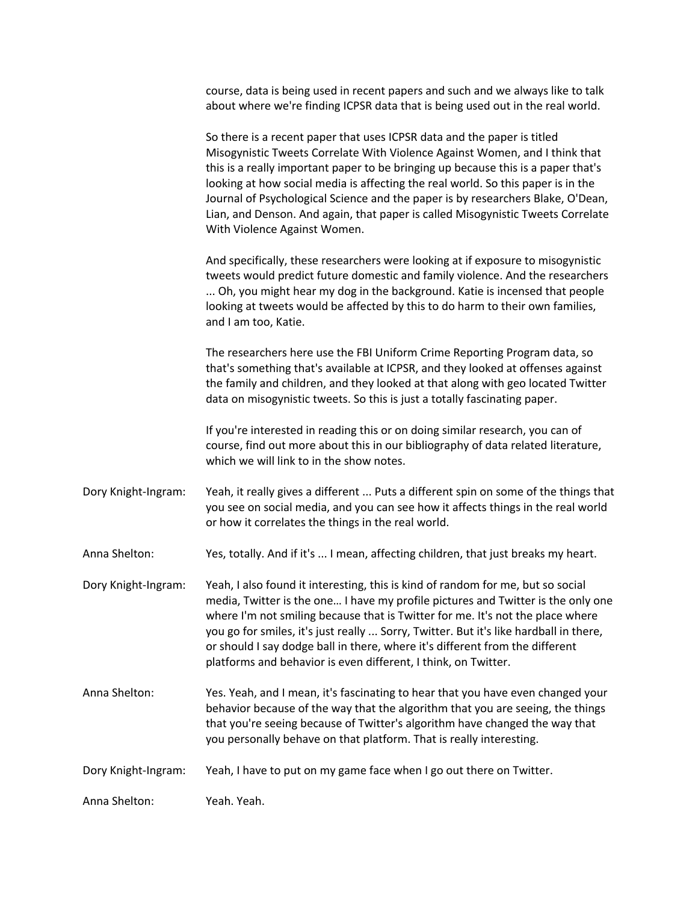course, data is being used in recent papers and such and we always like to talk about where we're finding ICPSR data that is being used out in the real world.

So there is a recent paper that uses ICPSR data and the paper is titled Misogynistic Tweets Correlate With Violence Against Women, and I think that this is a really important paper to be bringing up because this is a paper that's looking at how social media is affecting the real world. So this paper is in the Journal of Psychological Science and the paper is by researchers Blake, O'Dean, Lian, and Denson. And again, that paper is called Misogynistic Tweets Correlate With Violence Against Women.

And specifically, these researchers were looking at if exposure to misogynistic tweets would predict future domestic and family violence. And the researchers ... Oh, you might hear my dog in the background. Katie is incensed that people looking at tweets would be affected by this to do harm to their own families, and I am too, Katie.

The researchers here use the FBI Uniform Crime Reporting Program data, so that's something that's available at ICPSR, and they looked at offenses against the family and children, and they looked at that along with geo located Twitter data on misogynistic tweets. So this is just a totally fascinating paper.

If you're interested in reading this or on doing similar research, you can of course, find out more about this in our bibliography of data related literature, which we will link to in the show notes.

Dory Knight-Ingram: Yeah, it really gives a different ... Puts a different spin on some of the things that you see on social media, and you can see how it affects things in the real world or how it correlates the things in the real world.

Anna Shelton: Yes, totally. And if it's ... I mean, affecting children, that just breaks my heart.

- Dory Knight-Ingram: Yeah, I also found it interesting, this is kind of random for me, but so social media, Twitter is the one… I have my profile pictures and Twitter is the only one where I'm not smiling because that is Twitter for me. It's not the place where you go for smiles, it's just really ... Sorry, Twitter. But it's like hardball in there, or should I say dodge ball in there, where it's different from the different platforms and behavior is even different, I think, on Twitter.
- Anna Shelton: Yes. Yeah, and I mean, it's fascinating to hear that you have even changed your behavior because of the way that the algorithm that you are seeing, the things that you're seeing because of Twitter's algorithm have changed the way that you personally behave on that platform. That is really interesting.

Dory Knight-Ingram: Yeah, I have to put on my game face when I go out there on Twitter.

Anna Shelton: Yeah. Yeah.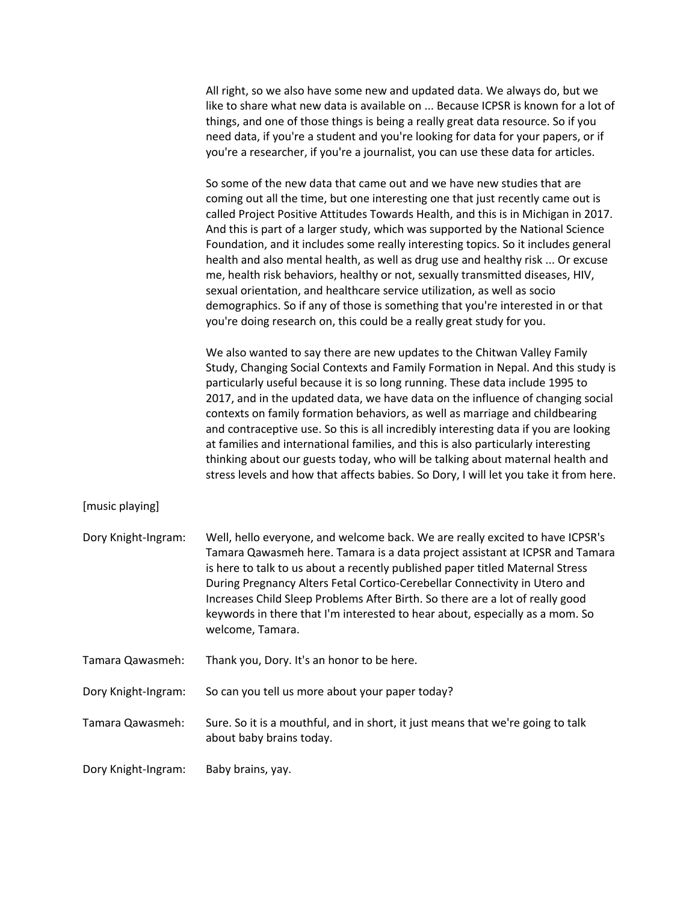| All right, so we also have some new and updated data. We always do, but we        |
|-----------------------------------------------------------------------------------|
| like to share what new data is available on  Because ICPSR is known for a lot of  |
| things, and one of those things is being a really great data resource. So if you  |
| need data, if you're a student and you're looking for data for your papers, or if |
| you're a researcher, if you're a journalist, you can use these data for articles. |

So some of the new data that came out and we have new studies that are coming out all the time, but one interesting one that just recently came out is called Project Positive Attitudes Towards Health, and this is in Michigan in 2017. And this is part of a larger study, which was supported by the National Science Foundation, and it includes some really interesting topics. So it includes general health and also mental health, as well as drug use and healthy risk ... Or excuse me, health risk behaviors, healthy or not, sexually transmitted diseases, HIV, sexual orientation, and healthcare service utilization, as well as socio demographics. So if any of those is something that you're interested in or that you're doing research on, this could be a really great study for you.

We also wanted to say there are new updates to the Chitwan Valley Family Study, Changing Social Contexts and Family Formation in Nepal. And this study is particularly useful because it is so long running. These data include 1995 to 2017, and in the updated data, we have data on the influence of changing social contexts on family formation behaviors, as well as marriage and childbearing and contraceptive use. So this is all incredibly interesting data if you are looking at families and international families, and this is also particularly interesting thinking about our guests today, who will be talking about maternal health and stress levels and how that affects babies. So Dory, I will let you take it from here.

[music playing]

| Dory Knight-Ingram: | Well, hello everyone, and welcome back. We are really excited to have ICPSR's                                                                                 |
|---------------------|---------------------------------------------------------------------------------------------------------------------------------------------------------------|
|                     | Tamara Qawasmeh here. Tamara is a data project assistant at ICPSR and Tamara                                                                                  |
|                     | is here to talk to us about a recently published paper titled Maternal Stress                                                                                 |
|                     | During Pregnancy Alters Fetal Cortico-Cerebellar Connectivity in Utero and                                                                                    |
|                     | Increases Child Sleep Problems After Birth. So there are a lot of really good<br>keywords in there that I'm interested to hear about, especially as a mom. So |
|                     | welcome, Tamara.                                                                                                                                              |
|                     |                                                                                                                                                               |

Tamara Qawasmeh: Thank you, Dory. It's an honor to be here.

Dory Knight-Ingram: So can you tell us more about your paper today?

Tamara Qawasmeh: Sure. So it is a mouthful, and in short, it just means that we're going to talk about baby brains today.

Dory Knight-Ingram: Baby brains, yay.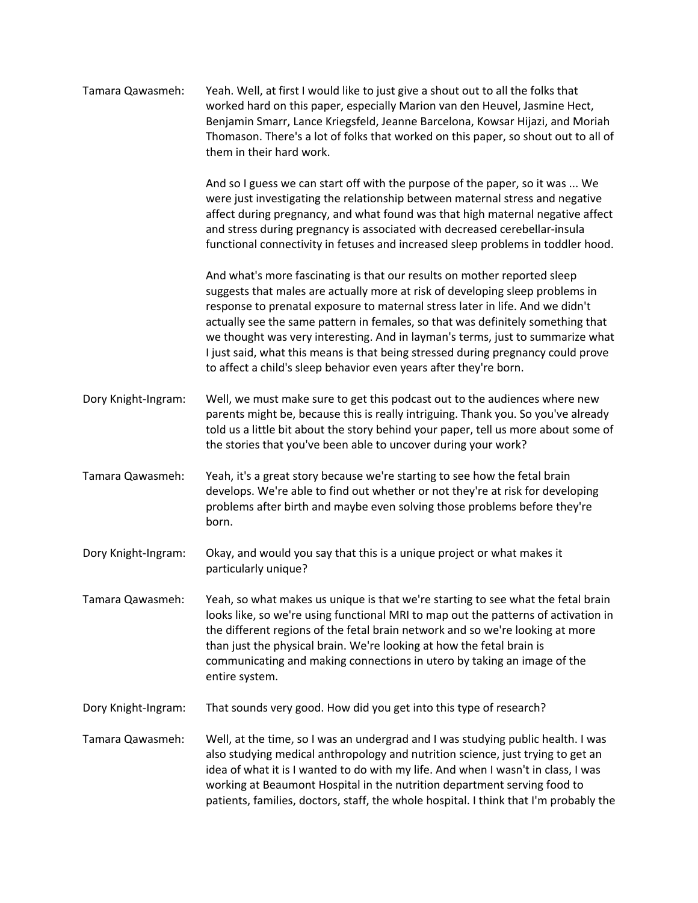| Tamara Qawasmeh:    | Yeah. Well, at first I would like to just give a shout out to all the folks that<br>worked hard on this paper, especially Marion van den Heuvel, Jasmine Hect,<br>Benjamin Smarr, Lance Kriegsfeld, Jeanne Barcelona, Kowsar Hijazi, and Moriah<br>Thomason. There's a lot of folks that worked on this paper, so shout out to all of<br>them in their hard work.                                                                                                                                                                                                        |
|---------------------|--------------------------------------------------------------------------------------------------------------------------------------------------------------------------------------------------------------------------------------------------------------------------------------------------------------------------------------------------------------------------------------------------------------------------------------------------------------------------------------------------------------------------------------------------------------------------|
|                     | And so I guess we can start off with the purpose of the paper, so it was  We<br>were just investigating the relationship between maternal stress and negative<br>affect during pregnancy, and what found was that high maternal negative affect<br>and stress during pregnancy is associated with decreased cerebellar-insula<br>functional connectivity in fetuses and increased sleep problems in toddler hood.                                                                                                                                                        |
|                     | And what's more fascinating is that our results on mother reported sleep<br>suggests that males are actually more at risk of developing sleep problems in<br>response to prenatal exposure to maternal stress later in life. And we didn't<br>actually see the same pattern in females, so that was definitely something that<br>we thought was very interesting. And in layman's terms, just to summarize what<br>I just said, what this means is that being stressed during pregnancy could prove<br>to affect a child's sleep behavior even years after they're born. |
| Dory Knight-Ingram: | Well, we must make sure to get this podcast out to the audiences where new<br>parents might be, because this is really intriguing. Thank you. So you've already<br>told us a little bit about the story behind your paper, tell us more about some of<br>the stories that you've been able to uncover during your work?                                                                                                                                                                                                                                                  |
| Tamara Qawasmeh:    | Yeah, it's a great story because we're starting to see how the fetal brain<br>develops. We're able to find out whether or not they're at risk for developing<br>problems after birth and maybe even solving those problems before they're<br>born.                                                                                                                                                                                                                                                                                                                       |
| Dory Knight-Ingram: | Okay, and would you say that this is a unique project or what makes it<br>particularly unique?                                                                                                                                                                                                                                                                                                                                                                                                                                                                           |
| Tamara Qawasmeh:    | Yeah, so what makes us unique is that we're starting to see what the fetal brain<br>looks like, so we're using functional MRI to map out the patterns of activation in<br>the different regions of the fetal brain network and so we're looking at more<br>than just the physical brain. We're looking at how the fetal brain is<br>communicating and making connections in utero by taking an image of the<br>entire system.                                                                                                                                            |
| Dory Knight-Ingram: | That sounds very good. How did you get into this type of research?                                                                                                                                                                                                                                                                                                                                                                                                                                                                                                       |
| Tamara Qawasmeh:    | Well, at the time, so I was an undergrad and I was studying public health. I was<br>also studying medical anthropology and nutrition science, just trying to get an<br>idea of what it is I wanted to do with my life. And when I wasn't in class, I was<br>working at Beaumont Hospital in the nutrition department serving food to<br>patients, families, doctors, staff, the whole hospital. I think that I'm probably the                                                                                                                                            |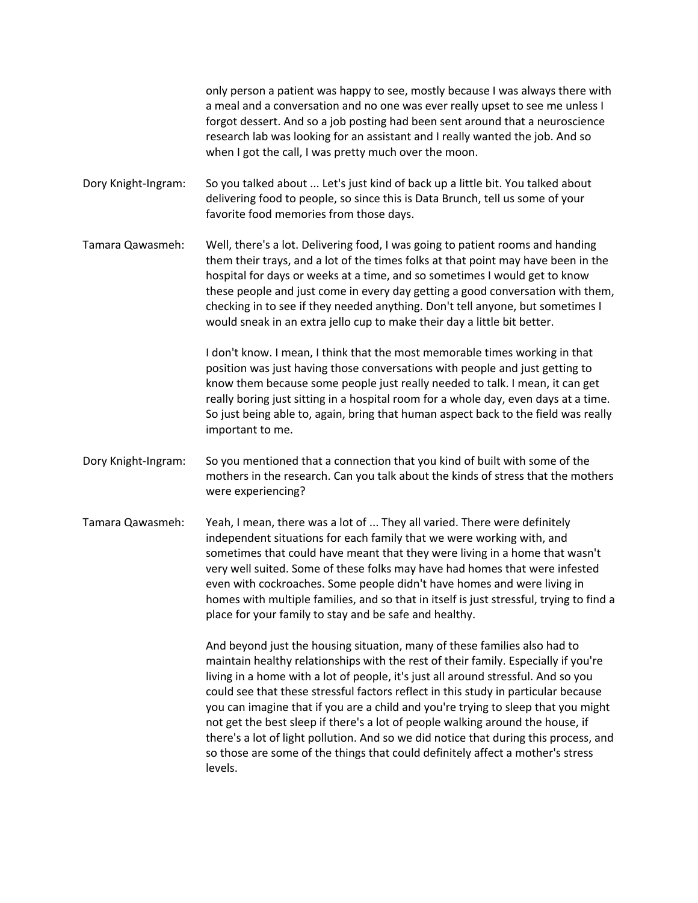only person a patient was happy to see, mostly because I was always there with a meal and a conversation and no one was ever really upset to see me unless I forgot dessert. And so a job posting had been sent around that a neuroscience research lab was looking for an assistant and I really wanted the job. And so when I got the call, I was pretty much over the moon.

Dory Knight-Ingram: So you talked about ... Let's just kind of back up a little bit. You talked about delivering food to people, so since this is Data Brunch, tell us some of your favorite food memories from those days.

Tamara Qawasmeh: Well, there's a lot. Delivering food, I was going to patient rooms and handing them their trays, and a lot of the times folks at that point may have been in the hospital for days or weeks at a time, and so sometimes I would get to know these people and just come in every day getting a good conversation with them, checking in to see if they needed anything. Don't tell anyone, but sometimes I would sneak in an extra jello cup to make their day a little bit better.

> I don't know. I mean, I think that the most memorable times working in that position was just having those conversations with people and just getting to know them because some people just really needed to talk. I mean, it can get really boring just sitting in a hospital room for a whole day, even days at a time. So just being able to, again, bring that human aspect back to the field was really important to me.

- Dory Knight-Ingram: So you mentioned that a connection that you kind of built with some of the mothers in the research. Can you talk about the kinds of stress that the mothers were experiencing?
- Tamara Qawasmeh: Yeah, I mean, there was a lot of ... They all varied. There were definitely independent situations for each family that we were working with, and sometimes that could have meant that they were living in a home that wasn't very well suited. Some of these folks may have had homes that were infested even with cockroaches. Some people didn't have homes and were living in homes with multiple families, and so that in itself is just stressful, trying to find a place for your family to stay and be safe and healthy.

And beyond just the housing situation, many of these families also had to maintain healthy relationships with the rest of their family. Especially if you're living in a home with a lot of people, it's just all around stressful. And so you could see that these stressful factors reflect in this study in particular because you can imagine that if you are a child and you're trying to sleep that you might not get the best sleep if there's a lot of people walking around the house, if there's a lot of light pollution. And so we did notice that during this process, and so those are some of the things that could definitely affect a mother's stress levels.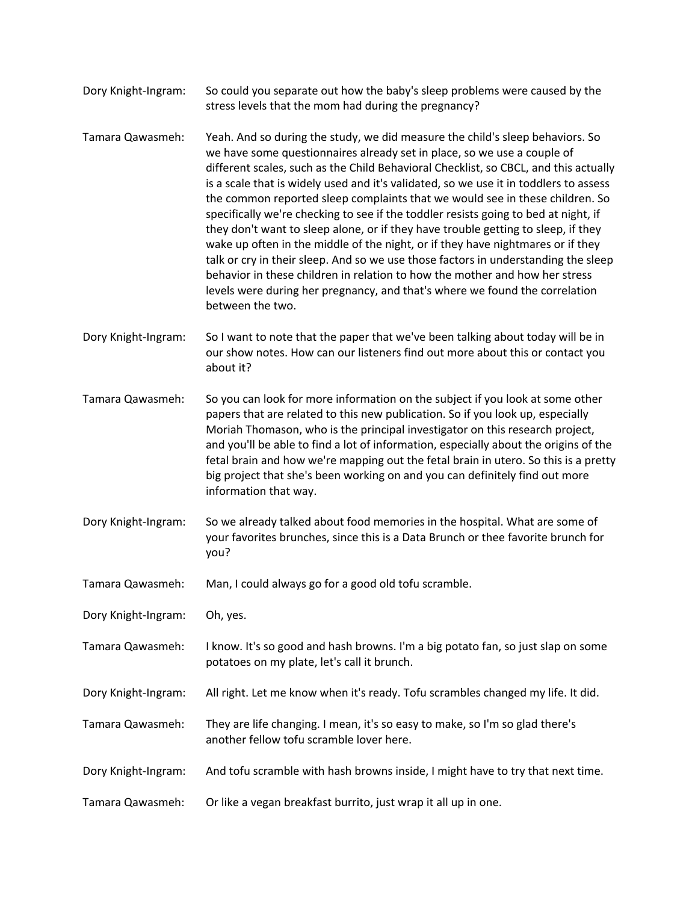- Dory Knight-Ingram: So could you separate out how the baby's sleep problems were caused by the stress levels that the mom had during the pregnancy?
- Tamara Qawasmeh: Yeah. And so during the study, we did measure the child's sleep behaviors. So we have some questionnaires already set in place, so we use a couple of different scales, such as the Child Behavioral Checklist, so CBCL, and this actually is a scale that is widely used and it's validated, so we use it in toddlers to assess the common reported sleep complaints that we would see in these children. So specifically we're checking to see if the toddler resists going to bed at night, if they don't want to sleep alone, or if they have trouble getting to sleep, if they wake up often in the middle of the night, or if they have nightmares or if they talk or cry in their sleep. And so we use those factors in understanding the sleep behavior in these children in relation to how the mother and how her stress levels were during her pregnancy, and that's where we found the correlation between the two.
- Dory Knight-Ingram: So I want to note that the paper that we've been talking about today will be in our show notes. How can our listeners find out more about this or contact you about it?
- Tamara Qawasmeh: So you can look for more information on the subject if you look at some other papers that are related to this new publication. So if you look up, especially Moriah Thomason, who is the principal investigator on this research project, and you'll be able to find a lot of information, especially about the origins of the fetal brain and how we're mapping out the fetal brain in utero. So this is a pretty big project that she's been working on and you can definitely find out more information that way.
- Dory Knight-Ingram: So we already talked about food memories in the hospital. What are some of your favorites brunches, since this is a Data Brunch or thee favorite brunch for you?
- Tamara Qawasmeh: Man, I could always go for a good old tofu scramble.
- Dory Knight-Ingram: Oh, yes.
- Tamara Qawasmeh: I know. It's so good and hash browns. I'm a big potato fan, so just slap on some potatoes on my plate, let's call it brunch.
- Dory Knight-Ingram: All right. Let me know when it's ready. Tofu scrambles changed my life. It did.
- Tamara Qawasmeh: They are life changing. I mean, it's so easy to make, so I'm so glad there's another fellow tofu scramble lover here.
- Dory Knight-Ingram: And tofu scramble with hash browns inside, I might have to try that next time.
- Tamara Qawasmeh: Or like a vegan breakfast burrito, just wrap it all up in one.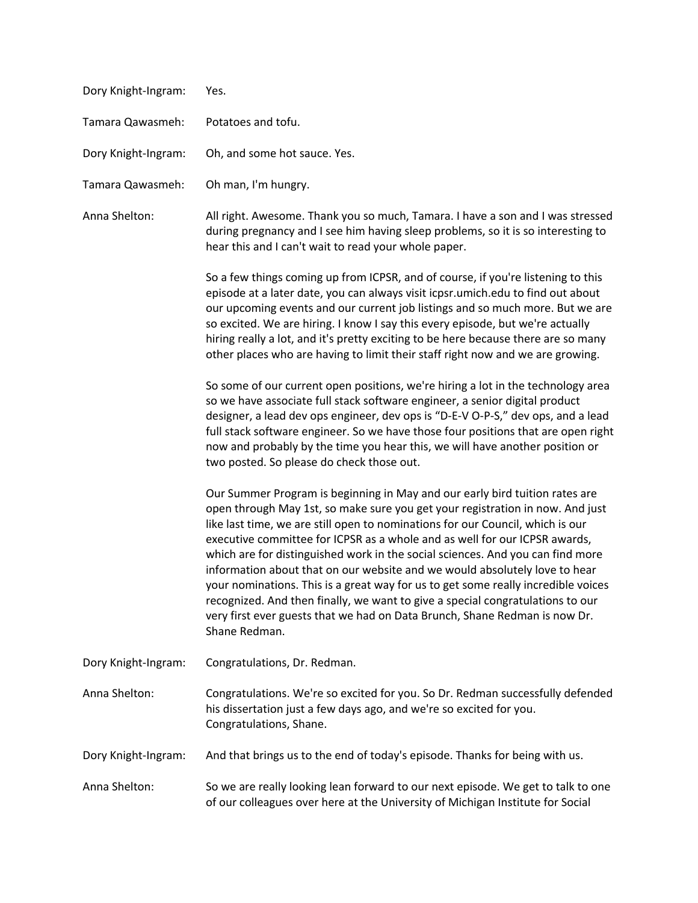| Dory Knight-Ingram: | Yes.                                                                                                                                                                                                                                                                                                                                                                                                                                                                                                                                                                                                                                                                                                                                                               |
|---------------------|--------------------------------------------------------------------------------------------------------------------------------------------------------------------------------------------------------------------------------------------------------------------------------------------------------------------------------------------------------------------------------------------------------------------------------------------------------------------------------------------------------------------------------------------------------------------------------------------------------------------------------------------------------------------------------------------------------------------------------------------------------------------|
| Tamara Qawasmeh:    | Potatoes and tofu.                                                                                                                                                                                                                                                                                                                                                                                                                                                                                                                                                                                                                                                                                                                                                 |
| Dory Knight-Ingram: | Oh, and some hot sauce. Yes.                                                                                                                                                                                                                                                                                                                                                                                                                                                                                                                                                                                                                                                                                                                                       |
| Tamara Qawasmeh:    | Oh man, I'm hungry.                                                                                                                                                                                                                                                                                                                                                                                                                                                                                                                                                                                                                                                                                                                                                |
| Anna Shelton:       | All right. Awesome. Thank you so much, Tamara. I have a son and I was stressed<br>during pregnancy and I see him having sleep problems, so it is so interesting to<br>hear this and I can't wait to read your whole paper.                                                                                                                                                                                                                                                                                                                                                                                                                                                                                                                                         |
|                     | So a few things coming up from ICPSR, and of course, if you're listening to this<br>episode at a later date, you can always visit icpsr.umich.edu to find out about<br>our upcoming events and our current job listings and so much more. But we are<br>so excited. We are hiring. I know I say this every episode, but we're actually<br>hiring really a lot, and it's pretty exciting to be here because there are so many<br>other places who are having to limit their staff right now and we are growing.                                                                                                                                                                                                                                                     |
|                     | So some of our current open positions, we're hiring a lot in the technology area<br>so we have associate full stack software engineer, a senior digital product<br>designer, a lead dev ops engineer, dev ops is "D-E-V O-P-S," dev ops, and a lead<br>full stack software engineer. So we have those four positions that are open right<br>now and probably by the time you hear this, we will have another position or<br>two posted. So please do check those out.                                                                                                                                                                                                                                                                                              |
|                     | Our Summer Program is beginning in May and our early bird tuition rates are<br>open through May 1st, so make sure you get your registration in now. And just<br>like last time, we are still open to nominations for our Council, which is our<br>executive committee for ICPSR as a whole and as well for our ICPSR awards,<br>which are for distinguished work in the social sciences. And you can find more<br>information about that on our website and we would absolutely love to hear<br>your nominations. This is a great way for us to get some really incredible voices<br>recognized. And then finally, we want to give a special congratulations to our<br>very first ever guests that we had on Data Brunch, Shane Redman is now Dr.<br>Shane Redman. |
| Dory Knight-Ingram: | Congratulations, Dr. Redman.                                                                                                                                                                                                                                                                                                                                                                                                                                                                                                                                                                                                                                                                                                                                       |
| Anna Shelton:       | Congratulations. We're so excited for you. So Dr. Redman successfully defended<br>his dissertation just a few days ago, and we're so excited for you.<br>Congratulations, Shane.                                                                                                                                                                                                                                                                                                                                                                                                                                                                                                                                                                                   |
| Dory Knight-Ingram: | And that brings us to the end of today's episode. Thanks for being with us.                                                                                                                                                                                                                                                                                                                                                                                                                                                                                                                                                                                                                                                                                        |
| Anna Shelton:       | So we are really looking lean forward to our next episode. We get to talk to one<br>of our colleagues over here at the University of Michigan Institute for Social                                                                                                                                                                                                                                                                                                                                                                                                                                                                                                                                                                                                 |